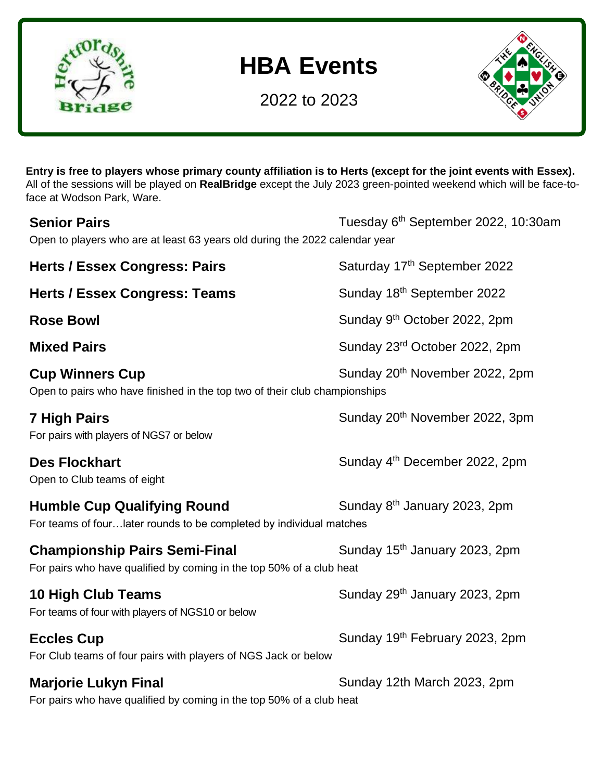

## **HBA Events**

2022 to 2023



**Entry is free to players whose primary county affiliation is to Herts (except for the joint events with Essex).** All of the sessions will be played on **RealBridge** except the July 2023 green-pointed weekend which will be face-toface at Wodson Park, Ware.

| <b>Senior Pairs</b><br>Open to players who are at least 63 years old during the 2022 calendar year           | Tuesday 6 <sup>th</sup> September 2022, 10:30am |
|--------------------------------------------------------------------------------------------------------------|-------------------------------------------------|
| <b>Herts / Essex Congress: Pairs</b>                                                                         | Saturday 17th September 2022                    |
| <b>Herts / Essex Congress: Teams</b>                                                                         | Sunday 18th September 2022                      |
| <b>Rose Bowl</b>                                                                                             | Sunday 9 <sup>th</sup> October 2022, 2pm        |
| <b>Mixed Pairs</b>                                                                                           | Sunday 23rd October 2022, 2pm                   |
| <b>Cup Winners Cup</b><br>Open to pairs who have finished in the top two of their club championships         | Sunday 20 <sup>th</sup> November 2022, 2pm      |
| 7 High Pairs<br>For pairs with players of NGS7 or below                                                      | Sunday 20 <sup>th</sup> November 2022, 3pm      |
| <b>Des Flockhart</b><br>Open to Club teams of eight                                                          | Sunday 4 <sup>th</sup> December 2022, 2pm       |
| <b>Humble Cup Qualifying Round</b><br>For teams of fourlater rounds to be completed by individual matches    | Sunday 8 <sup>th</sup> January 2023, 2pm        |
| <b>Championship Pairs Semi-Final</b><br>For pairs who have qualified by coming in the top 50% of a club heat | Sunday 15 <sup>th</sup> January 2023, 2pm       |
| <b>10 High Club Teams</b><br>For teams of four with players of NGS10 or below                                | Sunday 29 <sup>th</sup> January 2023, 2pm       |
| <b>Eccles Cup</b><br>For Club teams of four pairs with players of NGS Jack or below                          | Sunday 19th February 2023, 2pm                  |
| <b>Marjorie Lukyn Final</b><br>For pairs who have qualified by coming in the top 50% of a club heat          | Sunday 12th March 2023, 2pm                     |